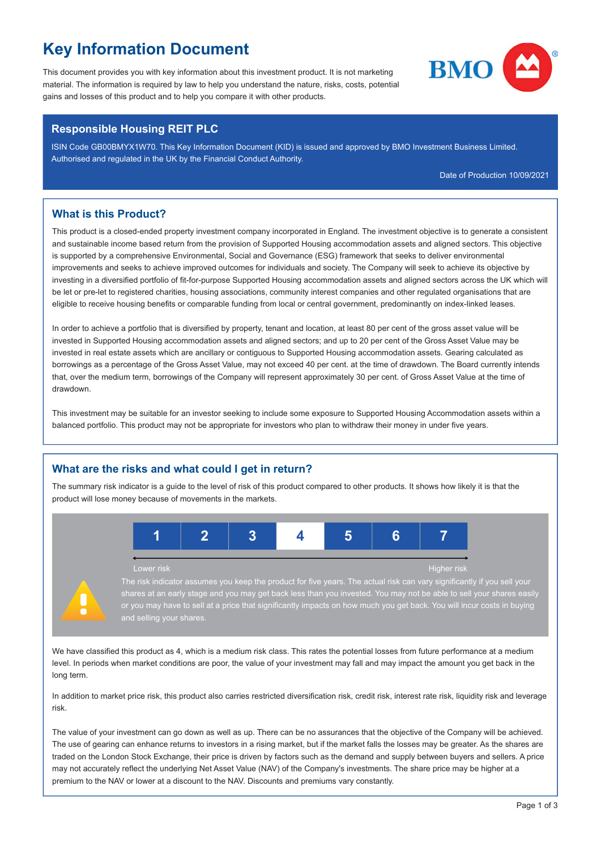# **Key Information Document**

This document provides you with key information about this investment product. It is not marketing  $\blacksquare\blacksquare\blacksquare$ material. The information is required by law to help you understand the nature, risks, costs, potential gains and losses of this product and to help you compare it with other products.



## **Responsible Housing REIT PLC**

ISIN Code GB00BMYX1W70. This Key Information Document (KID) is issued and approved by BMO Investment Business Limited. Authorised and regulated in the UK by the Financial Conduct Authority.

Date of Production 10/09/2021

## **What is this Product?**

This product is a closed-ended property investment company incorporated in England. The investment objective is to generate a consistent and sustainable income based return from the provision of Supported Housing accommodation assets and aligned sectors. This objective is supported by a comprehensive Environmental, Social and Governance (ESG) framework that seeks to deliver environmental improvements and seeks to achieve improved outcomes for individuals and society. The Company will seek to achieve its objective by investing in a diversified portfolio of fit-for-purpose Supported Housing accommodation assets and aligned sectors across the UK which will be let or pre-let to registered charities, housing associations, community interest companies and other regulated organisations that are eligible to receive housing benefits or comparable funding from local or central government, predominantly on index-linked leases.

In order to achieve a portfolio that is diversified by property, tenant and location, at least 80 per cent of the gross asset value will be invested in Supported Housing accommodation assets and aligned sectors; and up to 20 per cent of the Gross Asset Value may be invested in real estate assets which are ancillary or contiguous to Supported Housing accommodation assets. Gearing calculated as borrowings as a percentage of the Gross Asset Value, may not exceed 40 per cent. at the time of drawdown. The Board currently intends that, over the medium term, borrowings of the Company will represent approximately 30 per cent. of Gross Asset Value at the time of drawdown.

This investment may be suitable for an investor seeking to include some exposure to Supported Housing Accommodation assets within a balanced portfolio. This product may not be appropriate for investors who plan to withdraw their money in under five years.

# **What are the risks and what could I get in return?**

The summary risk indicator is a guide to the level of risk of this product compared to other products. It shows how likely it is that the product will lose money because of movements in the markets.



The risk indicator assumes you keep the product for five years. The actual risk can vary significantly if you sell your at an early stage and you may get back less than you invested. You may not be able to sell your share and selling your shares

We have classified this product as 4, which is a medium risk class. This rates the potential losses from future performance at a medium level. In periods when market conditions are poor, the value of your investment may fall and may impact the amount you get back in the long term.

In addition to market price risk, this product also carries restricted diversification risk, credit risk, interest rate risk, liquidity risk and leverage risk.

The value of your investment can go down as well as up. There can be no assurances that the objective of the Company will be achieved. The use of gearing can enhance returns to investors in a rising market, but if the market falls the losses may be greater. As the shares are traded on the London Stock Exchange, their price is driven by factors such as the demand and supply between buyers and sellers. A price may not accurately reflect the underlying Net Asset Value (NAV) of the Company's investments. The share price may be higher at a premium to the NAV or lower at a discount to the NAV. Discounts and premiums vary constantly.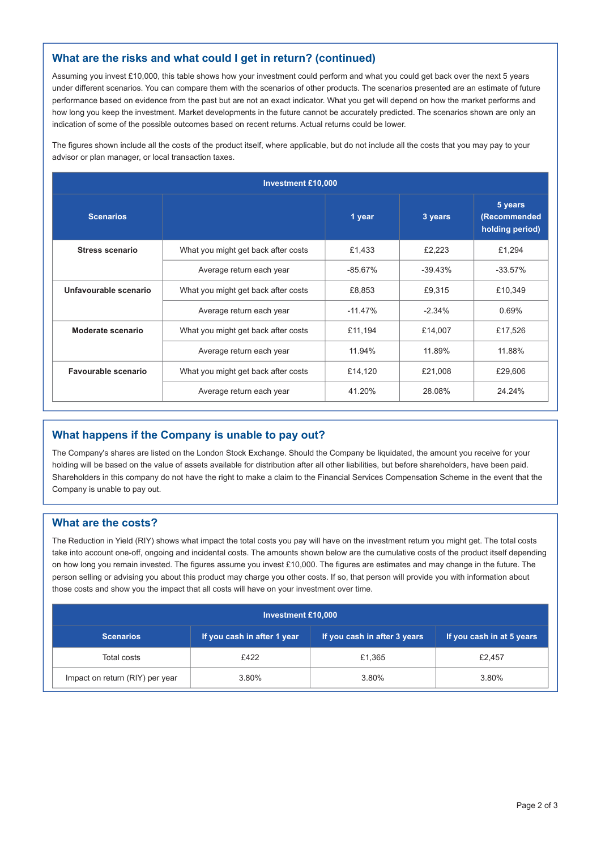# **What are the risks and what could I get in return? (continued)**

Assuming you invest £10,000, this table shows how your investment could perform and what you could get back over the next 5 years under different scenarios. You can compare them with the scenarios of other products. The scenarios presented are an estimate of future performance based on evidence from the past but are not an exact indicator. What you get will depend on how the market performs and how long you keep the investment. Market developments in the future cannot be accurately predicted. The scenarios shown are only an indication of some of the possible outcomes based on recent returns. Actual returns could be lower.

The figures shown include all the costs of the product itself, where applicable, but do not include all the costs that you may pay to your advisor or plan manager, or local transaction taxes.

| <b>Investment £10,000</b> |                                     |         |            |                                            |  |  |
|---------------------------|-------------------------------------|---------|------------|--------------------------------------------|--|--|
| <b>Scenarios</b>          |                                     | 1 year  | 3 years    | 5 years<br>(Recommended<br>holding period) |  |  |
| <b>Stress scenario</b>    | What you might get back after costs | £1,433  | £2,223     | £1,294                                     |  |  |
|                           | Average return each year            | -85.67% | $-39.43\%$ | $-33.57\%$                                 |  |  |
| Unfavourable scenario     | What you might get back after costs | £8,853  | £9,315     | £10,349                                    |  |  |
|                           | Average return each year            | -11.47% | $-2.34\%$  | 0.69%                                      |  |  |
| Moderate scenario         | What you might get back after costs | £11,194 | £14,007    | £17,526                                    |  |  |
|                           | Average return each year            | 11.94%  | 11.89%     | 11.88%                                     |  |  |
| Favourable scenario       | What you might get back after costs | £14,120 | £21,008    | £29,606                                    |  |  |
|                           | Average return each year            | 41.20%  | 28.08%     | 24.24%                                     |  |  |

# **What happens if the Company is unable to pay out?**

The Company's shares are listed on the London Stock Exchange. Should the Company be liquidated, the amount you receive for your holding will be based on the value of assets available for distribution after all other liabilities, but before shareholders, have been paid. Shareholders in this company do not have the right to make a claim to the Financial Services Compensation Scheme in the event that the Company is unable to pay out.

#### **What are the costs?**

The Reduction in Yield (RIY) shows what impact the total costs you pay will have on the investment return you might get. The total costs take into account one-off, ongoing and incidental costs. The amounts shown below are the cumulative costs of the product itself depending on how long you remain invested. The figures assume you invest £10,000. The figures are estimates and may change in the future. The person selling or advising you about this product may charge you other costs. If so, that person will provide you with information about those costs and show you the impact that all costs will have on your investment over time.

| Investment £10,000              |                             |                              |                           |  |  |  |
|---------------------------------|-----------------------------|------------------------------|---------------------------|--|--|--|
| <b>Scenarios</b>                | If you cash in after 1 year | If you cash in after 3 years | If you cash in at 5 years |  |  |  |
| Total costs                     | £422                        | £1.365                       | £2,457                    |  |  |  |
| Impact on return (RIY) per year | 3.80%                       | 3.80%                        | 3.80%                     |  |  |  |